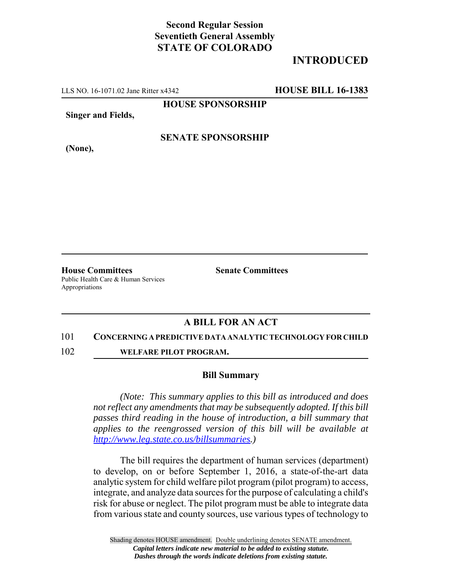## **Second Regular Session Seventieth General Assembly STATE OF COLORADO**

# **INTRODUCED**

LLS NO. 16-1071.02 Jane Ritter x4342 **HOUSE BILL 16-1383**

**HOUSE SPONSORSHIP**

**Singer and Fields,**

**SENATE SPONSORSHIP**

**(None),**

**House Committees Senate Committees** Public Health Care & Human Services Appropriations

## **A BILL FOR AN ACT**

#### 101 **CONCERNING A PREDICTIVE DATA ANALYTIC TECHNOLOGY FOR CHILD**

102 **WELFARE PILOT PROGRAM.**

### **Bill Summary**

*(Note: This summary applies to this bill as introduced and does not reflect any amendments that may be subsequently adopted. If this bill passes third reading in the house of introduction, a bill summary that applies to the reengrossed version of this bill will be available at http://www.leg.state.co.us/billsummaries.)*

The bill requires the department of human services (department) to develop, on or before September 1, 2016, a state-of-the-art data analytic system for child welfare pilot program (pilot program) to access, integrate, and analyze data sources for the purpose of calculating a child's risk for abuse or neglect. The pilot program must be able to integrate data from various state and county sources, use various types of technology to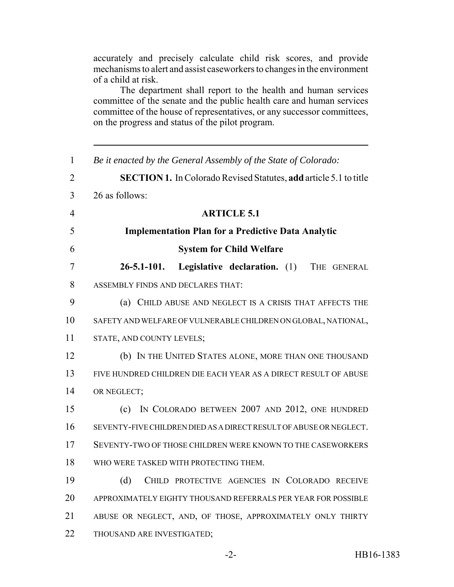accurately and precisely calculate child risk scores, and provide mechanisms to alert and assist caseworkers to changes in the environment of a child at risk.

The department shall report to the health and human services committee of the senate and the public health care and human services committee of the house of representatives, or any successor committees, on the progress and status of the pilot program.

| $\mathbf{1}$   | Be it enacted by the General Assembly of the State of Colorado:          |
|----------------|--------------------------------------------------------------------------|
| $\overline{2}$ | <b>SECTION 1.</b> In Colorado Revised Statutes, add article 5.1 to title |
| 3              | 26 as follows:                                                           |
| $\overline{4}$ | <b>ARTICLE 5.1</b>                                                       |
| 5              | <b>Implementation Plan for a Predictive Data Analytic</b>                |
| 6              | <b>System for Child Welfare</b>                                          |
| 7              | $26 - 5.1 - 101.$<br>Legislative declaration. (1)<br>THE GENERAL         |
| 8              | ASSEMBLY FINDS AND DECLARES THAT:                                        |
| 9              | (a) CHILD ABUSE AND NEGLECT IS A CRISIS THAT AFFECTS THE                 |
| 10             | SAFETY AND WELFARE OF VULNERABLE CHILDREN ON GLOBAL, NATIONAL,           |
| 11             | STATE, AND COUNTY LEVELS;                                                |
| 12             | (b) IN THE UNITED STATES ALONE, MORE THAN ONE THOUSAND                   |
| 13             | FIVE HUNDRED CHILDREN DIE EACH YEAR AS A DIRECT RESULT OF ABUSE          |
| 14             | OR NEGLECT;                                                              |
| 15             | IN COLORADO BETWEEN 2007 AND 2012, ONE HUNDRED<br>(c)                    |
| 16             | SEVENTY-FIVE CHILDREN DIED AS A DIRECT RESULT OF ABUSE OR NEGLECT.       |
| 17             | SEVENTY-TWO OF THOSE CHILDREN WERE KNOWN TO THE CASEWORKERS              |
| 18             | WHO WERE TASKED WITH PROTECTING THEM.                                    |
| 19             | (d)<br>CHILD PROTECTIVE AGENCIES IN COLORADO RECEIVE                     |
| 20             | APPROXIMATELY EIGHTY THOUSAND REFERRALS PER YEAR FOR POSSIBLE            |
| 21             | ABUSE OR NEGLECT, AND, OF THOSE, APPROXIMATELY ONLY THIRTY               |
| 22             | THOUSAND ARE INVESTIGATED;                                               |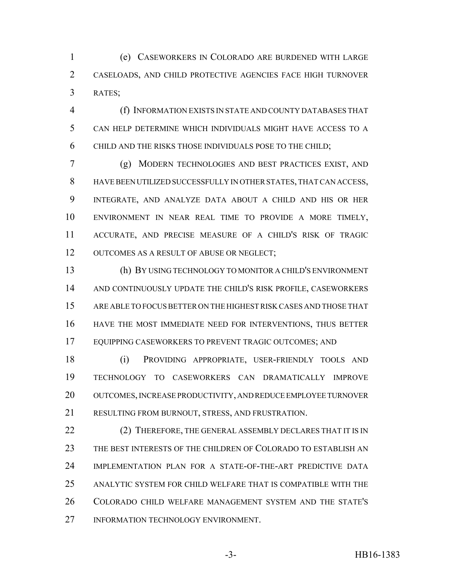(e) CASEWORKERS IN COLORADO ARE BURDENED WITH LARGE CASELOADS, AND CHILD PROTECTIVE AGENCIES FACE HIGH TURNOVER RATES;

 (f) INFORMATION EXISTS IN STATE AND COUNTY DATABASES THAT CAN HELP DETERMINE WHICH INDIVIDUALS MIGHT HAVE ACCESS TO A CHILD AND THE RISKS THOSE INDIVIDUALS POSE TO THE CHILD;

 (g) MODERN TECHNOLOGIES AND BEST PRACTICES EXIST, AND HAVE BEEN UTILIZED SUCCESSFULLY IN OTHER STATES, THAT CAN ACCESS, INTEGRATE, AND ANALYZE DATA ABOUT A CHILD AND HIS OR HER ENVIRONMENT IN NEAR REAL TIME TO PROVIDE A MORE TIMELY, ACCURATE, AND PRECISE MEASURE OF A CHILD'S RISK OF TRAGIC 12 OUTCOMES AS A RESULT OF ABUSE OR NEGLECT;

 (h) BY USING TECHNOLOGY TO MONITOR A CHILD'S ENVIRONMENT AND CONTINUOUSLY UPDATE THE CHILD'S RISK PROFILE, CASEWORKERS ARE ABLE TO FOCUS BETTER ON THE HIGHEST RISK CASES AND THOSE THAT HAVE THE MOST IMMEDIATE NEED FOR INTERVENTIONS, THUS BETTER EQUIPPING CASEWORKERS TO PREVENT TRAGIC OUTCOMES; AND

 (i) PROVIDING APPROPRIATE, USER-FRIENDLY TOOLS AND TECHNOLOGY TO CASEWORKERS CAN DRAMATICALLY IMPROVE OUTCOMES, INCREASE PRODUCTIVITY, AND REDUCE EMPLOYEE TURNOVER RESULTING FROM BURNOUT, STRESS, AND FRUSTRATION.

22 (2) THEREFORE, THE GENERAL ASSEMBLY DECLARES THAT IT IS IN THE BEST INTERESTS OF THE CHILDREN OF COLORADO TO ESTABLISH AN IMPLEMENTATION PLAN FOR A STATE-OF-THE-ART PREDICTIVE DATA ANALYTIC SYSTEM FOR CHILD WELFARE THAT IS COMPATIBLE WITH THE COLORADO CHILD WELFARE MANAGEMENT SYSTEM AND THE STATE'S 27 INFORMATION TECHNOLOGY ENVIRONMENT.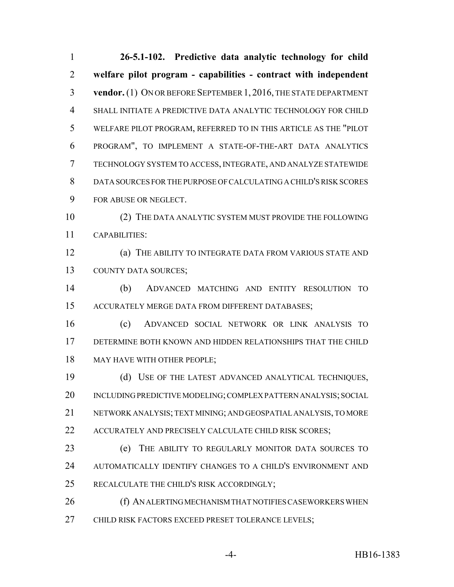**26-5.1-102. Predictive data analytic technology for child welfare pilot program - capabilities - contract with independent vendor.** (1) ON OR BEFORE SEPTEMBER 1, 2016, THE STATE DEPARTMENT SHALL INITIATE A PREDICTIVE DATA ANALYTIC TECHNOLOGY FOR CHILD WELFARE PILOT PROGRAM, REFERRED TO IN THIS ARTICLE AS THE "PILOT PROGRAM", TO IMPLEMENT A STATE-OF-THE-ART DATA ANALYTICS TECHNOLOGY SYSTEM TO ACCESS, INTEGRATE, AND ANALYZE STATEWIDE DATA SOURCES FOR THE PURPOSE OF CALCULATING A CHILD'S RISK SCORES FOR ABUSE OR NEGLECT. (2) THE DATA ANALYTIC SYSTEM MUST PROVIDE THE FOLLOWING CAPABILITIES: (a) THE ABILITY TO INTEGRATE DATA FROM VARIOUS STATE AND COUNTY DATA SOURCES; (b) ADVANCED MATCHING AND ENTITY RESOLUTION TO ACCURATELY MERGE DATA FROM DIFFERENT DATABASES; (c) ADVANCED SOCIAL NETWORK OR LINK ANALYSIS TO DETERMINE BOTH KNOWN AND HIDDEN RELATIONSHIPS THAT THE CHILD 18 MAY HAVE WITH OTHER PEOPLE; (d) USE OF THE LATEST ADVANCED ANALYTICAL TECHNIQUES, INCLUDING PREDICTIVE MODELING; COMPLEX PATTERN ANALYSIS; SOCIAL NETWORK ANALYSIS; TEXT MINING; AND GEOSPATIAL ANALYSIS, TO MORE 22 ACCURATELY AND PRECISELY CALCULATE CHILD RISK SCORES; (e) THE ABILITY TO REGULARLY MONITOR DATA SOURCES TO AUTOMATICALLY IDENTIFY CHANGES TO A CHILD'S ENVIRONMENT AND RECALCULATE THE CHILD'S RISK ACCORDINGLY; **(f) AN ALERTING MECHANISM THAT NOTIFIES CASEWORKERS WHEN** CHILD RISK FACTORS EXCEED PRESET TOLERANCE LEVELS;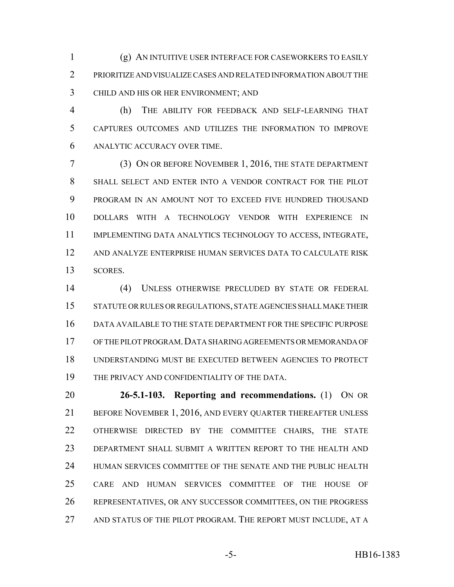(g) AN INTUITIVE USER INTERFACE FOR CASEWORKERS TO EASILY PRIORITIZE AND VISUALIZE CASES AND RELATED INFORMATION ABOUT THE CHILD AND HIS OR HER ENVIRONMENT; AND

 (h) THE ABILITY FOR FEEDBACK AND SELF-LEARNING THAT CAPTURES OUTCOMES AND UTILIZES THE INFORMATION TO IMPROVE ANALYTIC ACCURACY OVER TIME.

 (3) ON OR BEFORE NOVEMBER 1, 2016, THE STATE DEPARTMENT SHALL SELECT AND ENTER INTO A VENDOR CONTRACT FOR THE PILOT PROGRAM IN AN AMOUNT NOT TO EXCEED FIVE HUNDRED THOUSAND DOLLARS WITH A TECHNOLOGY VENDOR WITH EXPERIENCE IN IMPLEMENTING DATA ANALYTICS TECHNOLOGY TO ACCESS, INTEGRATE, AND ANALYZE ENTERPRISE HUMAN SERVICES DATA TO CALCULATE RISK SCORES.

 (4) UNLESS OTHERWISE PRECLUDED BY STATE OR FEDERAL STATUTE OR RULES OR REGULATIONS, STATE AGENCIES SHALL MAKE THEIR DATA AVAILABLE TO THE STATE DEPARTMENT FOR THE SPECIFIC PURPOSE OF THE PILOT PROGRAM.DATA SHARING AGREEMENTS OR MEMORANDA OF UNDERSTANDING MUST BE EXECUTED BETWEEN AGENCIES TO PROTECT THE PRIVACY AND CONFIDENTIALITY OF THE DATA.

 **26-5.1-103. Reporting and recommendations.** (1) ON OR 21 BEFORE NOVEMBER 1, 2016, AND EVERY QUARTER THEREAFTER UNLESS OTHERWISE DIRECTED BY THE COMMITTEE CHAIRS, THE STATE DEPARTMENT SHALL SUBMIT A WRITTEN REPORT TO THE HEALTH AND HUMAN SERVICES COMMITTEE OF THE SENATE AND THE PUBLIC HEALTH CARE AND HUMAN SERVICES COMMITTEE OF THE HOUSE OF REPRESENTATIVES, OR ANY SUCCESSOR COMMITTEES, ON THE PROGRESS AND STATUS OF THE PILOT PROGRAM. THE REPORT MUST INCLUDE, AT A